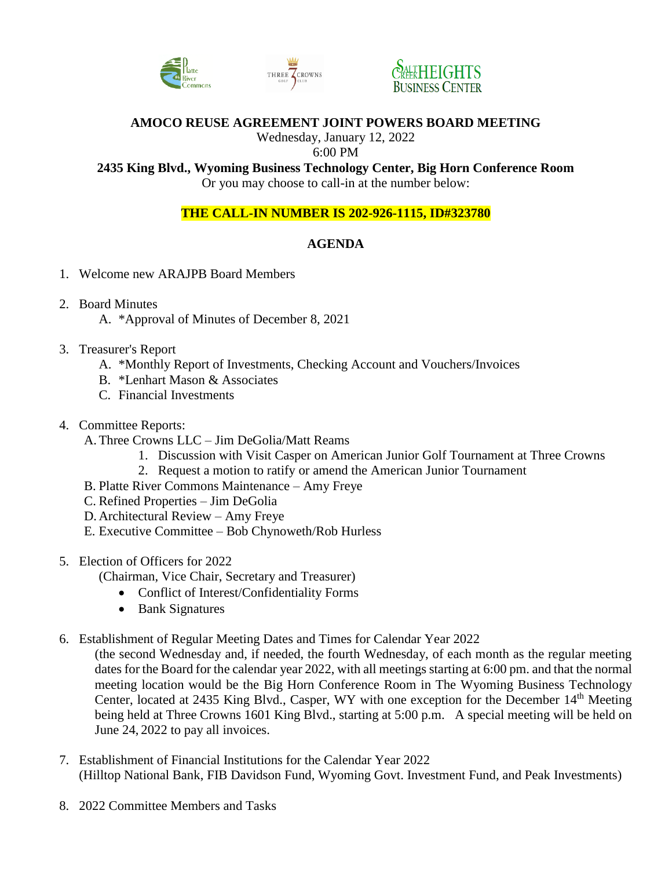





# **AMOCO REUSE AGREEMENT JOINT POWERS BOARD MEETING**

Wednesday, January 12, 2022

#### 6:00 PM

**2435 King Blvd., Wyoming Business Technology Center, Big Horn Conference Room**

Or you may choose to call-in at the number below:

## **THE CALL-IN NUMBER IS 202-926-1115, ID#323780**

## **AGENDA**

- 1. Welcome new ARAJPB Board Members
- 2. Board Minutes
	- A. \*Approval of Minutes of December 8, 2021
- 3. Treasurer's Report
	- A. \*Monthly Report of Investments, Checking Account and Vouchers/Invoices
	- B. \*Lenhart Mason & Associates
	- C. Financial Investments
- 4. Committee Reports:
	- A.Three Crowns LLC Jim DeGolia/Matt Reams
		- 1. Discussion with Visit Casper on American Junior Golf Tournament at Three Crowns
		- 2. Request a motion to ratify or amend the American Junior Tournament
	- B. Platte River Commons Maintenance Amy Freye
	- C. Refined Properties Jim DeGolia
	- D. Architectural Review Amy Freye
	- E. Executive Committee Bob Chynoweth/Rob Hurless
- 5. Election of Officers for 2022
	- (Chairman, Vice Chair, Secretary and Treasurer)
		- Conflict of Interest/Confidentiality Forms
		- Bank Signatures
- 6. Establishment of Regular Meeting Dates and Times for Calendar Year 2022
	- (the second Wednesday and, if needed, the fourth Wednesday, of each month as the regular meeting dates for the Board for the calendar year 2022, with all meetings starting at 6:00 pm. and that the normal meeting location would be the Big Horn Conference Room in The Wyoming Business Technology Center, located at 2435 King Blvd., Casper, WY with one exception for the December 14<sup>th</sup> Meeting being held at Three Crowns 1601 King Blvd., starting at 5:00 p.m. A special meeting will be held on June 24, 2022 to pay all invoices.
- 7. Establishment of Financial Institutions for the Calendar Year 2022 (Hilltop National Bank, FIB Davidson Fund, Wyoming Govt. Investment Fund, and Peak Investments)
- 8. 2022 Committee Members and Tasks